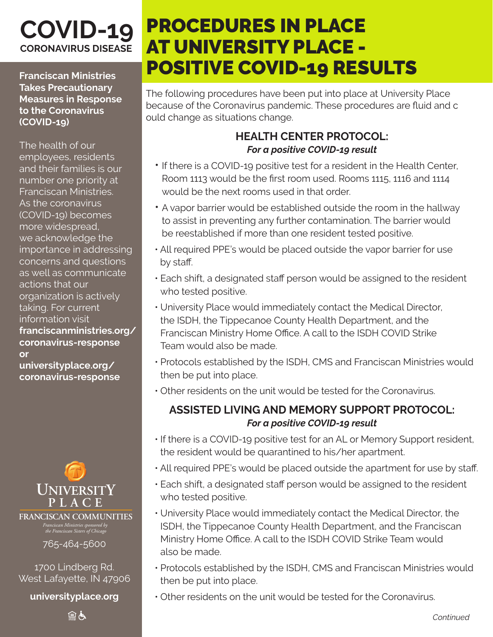## **COVID-19 CORONAVIRUS DISEASE**

**Franciscan Ministries Takes Precautionary Measures in Response to the Coronavirus (COVID-19)**

The health of our employees, residents and their families is our number one priority at Franciscan Ministries. As the coronavirus (COVID-19) becomes more widespread, we acknowledge the importance in addressing concerns and questions as well as communicate actions that our organization is actively taking. For current information visit **franciscanministries.org/ coronavirus-response or** 

**universityplace.org/ coronavirus-response**



*Franciscan Ministries sponsored by the Franciscan Sisters of Chicago* **FRANCISCAN COMMUNITIES**

765-464-5600

1700 Lindberg Rd. West Lafayette, IN 47906

**universityplace.org**

自占

# PROCEDURES IN PLACE AT UNIVERSITY PLACE - POSITIVE COVID-19 RESULTS

The following procedures have been put into place at University Place because of the Coronavirus pandemic. These procedures are fluid and c ould change as situations change.

#### **HEALTH CENTER PROTOCOL:** *For a positive COVID-19 result*

- If there is a COVID-19 positive test for a resident in the Health Center, Room 1113 would be the first room used. Rooms 1115, 1116 and 1114 would be the next rooms used in that order.
- A vapor barrier would be established outside the room in the hallway to assist in preventing any further contamination. The barrier would be reestablished if more than one resident tested positive.
- All required PPE's would be placed outside the vapor barrier for use by staff.
- Each shift, a designated staff person would be assigned to the resident who tested positive.
- University Place would immediately contact the Medical Director, the ISDH, the Tippecanoe County Health Department, and the Franciscan Ministry Home Office. A call to the ISDH COVID Strike Team would also be made.
- Protocols established by the ISDH, CMS and Franciscan Ministries would then be put into place.
- Other residents on the unit would be tested for the Coronavirus.

#### **ASSISTED LIVING AND MEMORY SUPPORT PROTOCOL:** *For a positive COVID-19 result*

- If there is a COVID-19 positive test for an AL or Memory Support resident, the resident would be quarantined to his/her apartment.
- All required PPE's would be placed outside the apartment for use by staff.
- Each shift, a designated staff person would be assigned to the resident who tested positive.
- University Place would immediately contact the Medical Director, the ISDH, the Tippecanoe County Health Department, and the Franciscan Ministry Home Office. A call to the ISDH COVID Strike Team would also be made.
- Protocols established by the ISDH, CMS and Franciscan Ministries would then be put into place.
- Other residents on the unit would be tested for the Coronavirus.